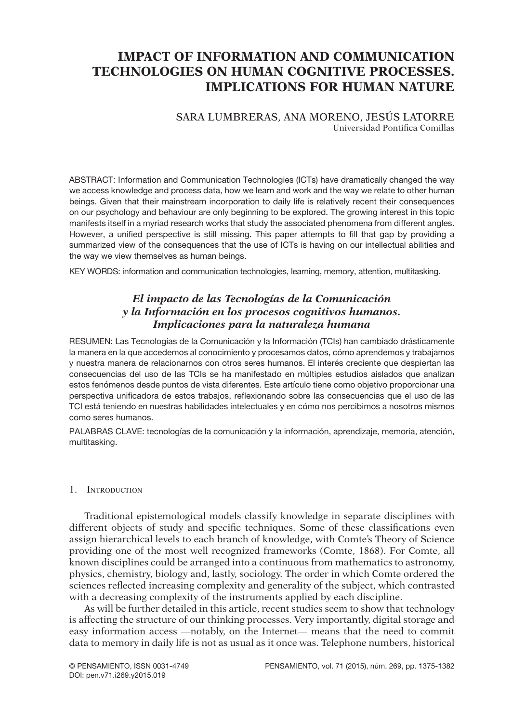# **IMPACT OF INFORMATION AND COMMUNICATION TECHNOLOGIES ON HUMAN COGNITIVE PROCESSES. Implications for human nature**

### SARA LUMBRERAS, ANA MORENO, JESÚS LATORRE Universidad Pontifica Comillas

ABSTRACT: Information and Communication Technologies (ICTs) have dramatically changed the way we access knowledge and process data, how we learn and work and the way we relate to other human beings. Given that their mainstream incorporation to daily life is relatively recent their consequences on our psychology and behaviour are only beginning to be explored. The growing interest in this topic manifests itself in a myriad research works that study the associated phenomena from different angles. However, a unified perspective is still missing. This paper attempts to fill that gap by providing a summarized view of the consequences that the use of ICTs is having on our intellectual abilities and the way we view themselves as human beings.

KEY WORDS: information and communication technologies, learning, memory, attention, multitasking.

# *El impacto de las Tecnologías de la Comunicación y la Información en los procesos cognitivos humanos. Implicaciones para la naturaleza humana*

RESUMEN: Las Tecnologías de la Comunicación y la Información (TCIs) han cambiado drásticamente la manera en la que accedemos al conocimiento y procesamos datos, cómo aprendemos y trabajamos y nuestra manera de relacionarnos con otros seres humanos. El interés creciente que despiertan las consecuencias del uso de las TCIs se ha manifestado en múltiples estudios aislados que analizan estos fenómenos desde puntos de vista diferentes. Este artículo tiene como objetivo proporcionar una perspectiva unificadora de estos trabajos, reflexionando sobre las consecuencias que el uso de las TCI está teniendo en nuestras habilidades intelectuales y en cómo nos percibimos a nosotros mismos como seres humanos.

PALABRAS CLAVE: tecnologías de la comunicación y la información, aprendizaje, memoria, atención, multitasking.

#### 1. Introduction

Traditional epistemological models classify knowledge in separate disciplines with different objects of study and specific techniques. Some of these classifications even assign hierarchical levels to each branch of knowledge, with Comte's Theory of Science providing one of the most well recognized frameworks (Comte, 1868). For Comte, all known disciplines could be arranged into a continuous from mathematics to astronomy, physics, chemistry, biology and, lastly, sociology. The order in which Comte ordered the sciences reflected increasing complexity and generality of the subject, which contrasted with a decreasing complexity of the instruments applied by each discipline.

As will be further detailed in this article, recent studies seem to show that technology is affecting the structure of our thinking processes. Very importantly, digital storage and easy information access —notably, on the Internet— means that the need to commit data to memory in daily life is not as usual as it once was. Telephone numbers, historical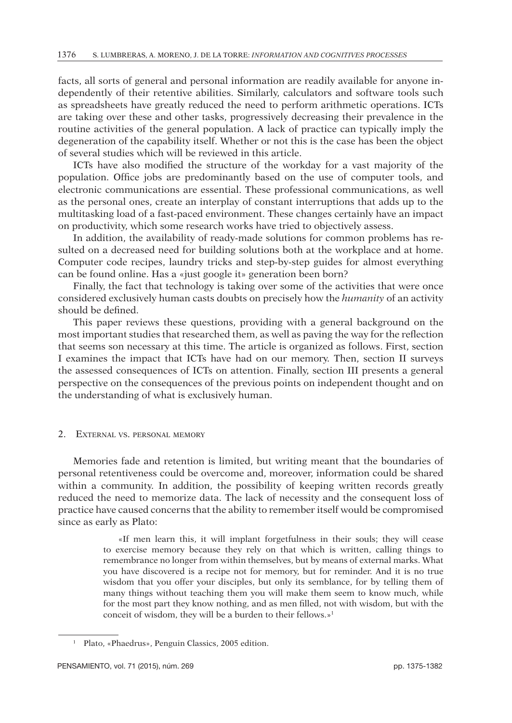facts, all sorts of general and personal information are readily available for anyone independently of their retentive abilities. Similarly, calculators and software tools such as spreadsheets have greatly reduced the need to perform arithmetic operations. ICTs are taking over these and other tasks, progressively decreasing their prevalence in the routine activities of the general population. A lack of practice can typically imply the degeneration of the capability itself. Whether or not this is the case has been the object of several studies which will be reviewed in this article.

ICTs have also modified the structure of the workday for a vast majority of the population. Office jobs are predominantly based on the use of computer tools, and electronic communications are essential. These professional communications, as well as the personal ones, create an interplay of constant interruptions that adds up to the multitasking load of a fast-paced environment. These changes certainly have an impact on productivity, which some research works have tried to objectively assess.

In addition, the availability of ready-made solutions for common problems has resulted on a decreased need for building solutions both at the workplace and at home. Computer code recipes, laundry tricks and step-by-step guides for almost everything can be found online. Has a «just google it» generation been born?

Finally, the fact that technology is taking over some of the activities that were once considered exclusively human casts doubts on precisely how the *humanity* of an activity should be defined.

This paper reviews these questions, providing with a general background on the most important studies that researched them, as well as paving the way for the reflection that seems son necessary at this time. The article is organized as follows. First, section I examines the impact that ICTs have had on our memory. Then, section II surveys the assessed consequences of ICTs on attention. Finally, section III presents a general perspective on the consequences of the previous points on independent thought and on the understanding of what is exclusively human.

#### 2. External vs. personal memory

Memories fade and retention is limited, but writing meant that the boundaries of personal retentiveness could be overcome and, moreover, information could be shared within a community. In addition, the possibility of keeping written records greatly reduced the need to memorize data. The lack of necessity and the consequent loss of practice have caused concerns that the ability to remember itself would be compromised since as early as Plato:

> «If men learn this, it will implant forgetfulness in their souls; they will cease to exercise memory because they rely on that which is written, calling things to remembrance no longer from within themselves, but by means of external marks. What you have discovered is a recipe not for memory, but for reminder. And it is no true wisdom that you offer your disciples, but only its semblance, for by telling them of many things without teaching them you will make them seem to know much, while for the most part they know nothing, and as men filled, not with wisdom, but with the conceit of wisdom, they will be a burden to their fellows.»1

<sup>1</sup> Plato, «Phaedrus», Penguin Classics, 2005 edition.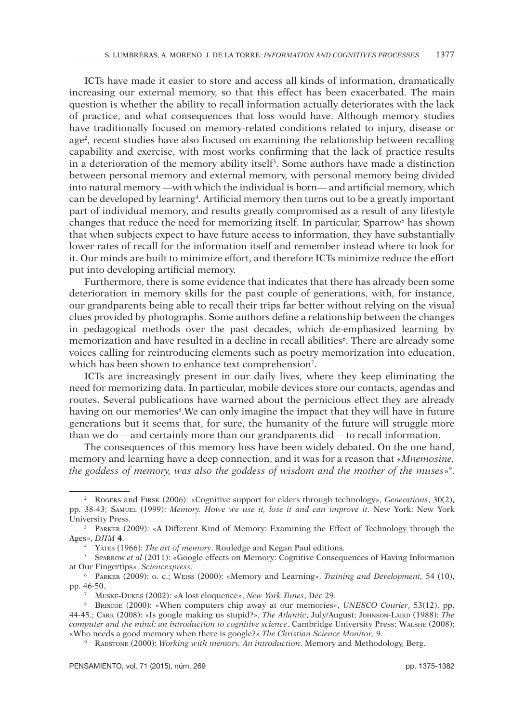ICTs have made it easier to store and access all kinds of information, dramatically increasing our external memory, so that this effect has been exacerbated. The main question is whether the ability to recall information actually deteriorates with the lack of practice, and what consequences that loss would have. Although memory studies have traditionally focused on memory-related conditions related to injury, disease or age<sup>2</sup>, recent studies have also focused on examining the relationship between recalling capability and exercise, with most works confirming that the lack of practice results in a deterioration of the memory ability itself<sup>3</sup>. Some authors have made a distinction between personal memory and external memory, with personal memory being divided into natural memory —with which the individual is born— and artificial memory, which can be developed by learning4 . Artificial memory then turns out to be a greatly important part of individual memory, and results greatly compromised as a result of any lifestyle changes that reduce the need for memorizing itself. In particular, Sparrow<sup>5</sup> has shown that when subjects expect to have future access to information, they have substantially lower rates of recall for the information itself and remember instead where to look for it. Our minds are built to minimize effort, and therefore ICTs minimize reduce the effort put into developing artificial memory.

Furthermore, there is some evidence that indicates that there has already been some deterioration in memory skills for the past couple of generations, with, for instance, our grandparents being able to recall their trips far better without relying on the visual clues provided by photographs. Some authors define a relationship between the changes in pedagogical methods over the past decades, which de-emphasized learning by memorization and have resulted in a decline in recall abilities<sup>6</sup>. There are already some voices calling for reintroducing elements such as poetry memorization into education, which has been shown to enhance text comprehension<sup>7</sup>.

ICTs are increasingly present in our daily lives, where they keep eliminating the need for memorizing data. In particular, mobile devices store our contacts, agendas and routes. Several publications have warned about the pernicious effect they are already having on our memories<sup>8</sup>. We can only imagine the impact that they will have in future generations but it seems that, for sure, the humanity of the future will struggle more than we do —and certainly more than our grandparents did— to recall information.

The consequences of this memory loss have been widely debated. On the one hand, memory and learning have a deep connection, and it was for a reason that «*Mnemosine, the goddess of memory, was also the goddess of wisdom and the mother of the muses*»9 .

<sup>2</sup> Rogers and Firsk (2006): «Cognitive support for elders through technology», *Generations*, 30(2), pp. 38-43; Samuel (1999): *Memory. Howe we use it, lose it and can improve it*. New York: New York University Press.

<sup>&</sup>lt;sup>3</sup> PARKER (2009): «A Different Kind of Memory: Examining the Effect of Technology through the Ages», *DJIM* **4**.

<sup>4</sup> Yates (1966): *The art of memory*. Rouledge and Kegan Paul editions. 5 Sparrow *et al* (2011): «Google effects on Memory: Cognitive Consequences of Having Information at Our Fingertips», *Sciencexpress*.

<sup>6</sup> Parker (2009): o. c.; Weiss (2000): «Memory and Learning», *Training and Development,* 54 (10), pp. 46-50.

<sup>7</sup> Muske-Dukes (2002): «A lost eloquence», *New York Times*, Dec 29.

<sup>8</sup> Briscoe (2000): «When computers chip away at our memories», *UNESCO Courier*, 53(12), pp. 44-45.; Carr (2008): «Is google making us stupid?», *The Atlantic*, July/August; JOHNSON-LAIRD (1988): *The computer and the mind: an introduction to cognitive science*. Cambridge University Press; Walshe (2008): «Who needs a good memory when there is google?» *The Christian Science Monitor*, 9.

<sup>9</sup> Radstone (2000): *Working with memory. An introduction*. Memory and Methodology, Berg.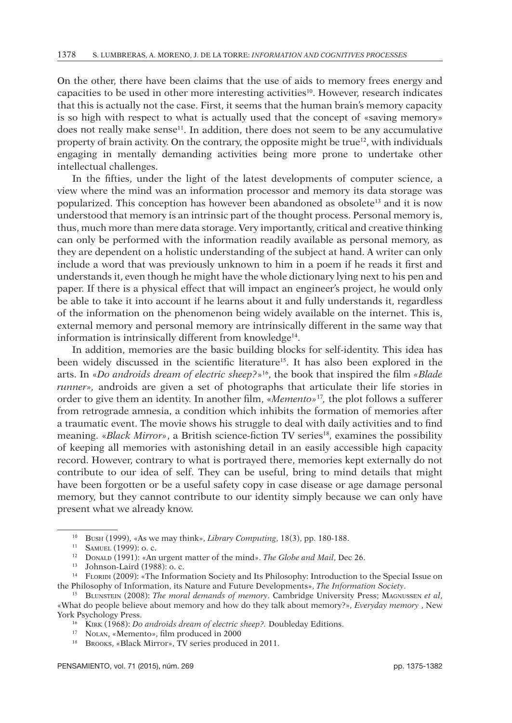On the other, there have been claims that the use of aids to memory frees energy and capacities to be used in other more interesting activities<sup>10</sup>. However, research indicates that this is actually not the case. First, it seems that the human brain's memory capacity is so high with respect to what is actually used that the concept of «saving memory» does not really make sense<sup>11</sup>. In addition, there does not seem to be any accumulative property of brain activity. On the contrary, the opposite might be true<sup>12</sup>, with individuals engaging in mentally demanding activities being more prone to undertake other intellectual challenges.

In the fifties, under the light of the latest developments of computer science, a view where the mind was an information processor and memory its data storage was popularized. This conception has however been abandoned as obsolete<sup>13</sup> and it is now understood that memory is an intrinsic part of the thought process. Personal memory is, thus, much more than mere data storage. Very importantly, critical and creative thinking can only be performed with the information readily available as personal memory, as they are dependent on a holistic understanding of the subject at hand. A writer can only include a word that was previously unknown to him in a poem if he reads it first and understands it, even though he might have the whole dictionary lying next to his pen and paper. If there is a physical effect that will impact an engineer's project, he would only be able to take it into account if he learns about it and fully understands it, regardless of the information on the phenomenon being widely available on the internet. This is, external memory and personal memory are intrinsically different in the same way that information is intrinsically different from knowledge<sup>14</sup>.

In addition, memories are the basic building blocks for self-identity. This idea has been widely discussed in the scientific literature<sup>15</sup>. It has also been explored in the arts. In «*Do androids dream of electric sheep?*»16, the book that inspired the film *«Blade runner»,* androids are given a set of photographs that articulate their life stories in order to give them an identity. In another film, «*Memento»*17*,* the plot follows a sufferer from retrograde amnesia, a condition which inhibits the formation of memories after a traumatic event. The movie shows his struggle to deal with daily activities and to find meaning. «*Black Mirror*», a British science-fiction TV series<sup>18</sup>, examines the possibility of keeping all memories with astonishing detail in an easily accessible high capacity record. However, contrary to what is portrayed there, memories kept externally do not contribute to our idea of self. They can be useful, bring to mind details that might have been forgotten or be a useful safety copy in case disease or age damage personal memory, but they cannot contribute to our identity simply because we can only have present what we already know.

<sup>17</sup> Nolan, «Memento», film produced in 2000

<sup>10</sup> Bush (1999), «As we may think», *Library Computing*, 18(3), pp. 180-188.

<sup>11</sup> Samuel (1999): o. c.

<sup>&</sup>lt;sup>12</sup> DONALD (1991): «An urgent matter of the mind». *The Globe and Mail*, Dec 26.<br><sup>13</sup> Johnson-Laird (1988): o. c.

<sup>&</sup>lt;sup>14</sup> FLORIDI (2009): «The Information Society and Its Philosophy: Introduction to the Special Issue on the Philosophy of Information, its Nature and Future Developments», *The Information Society*.

<sup>&</sup>lt;sup>15</sup> BLUNSTEIN (2008): *The moral demands of memory*. Cambridge University Press; Magnussen *et al*, «What do people believe about memory and how do they talk about memory?», *Everyday memory* , New York Psychology Press.

<sup>16</sup> Kirk (1968): *Do androids dream of electric sheep?.* Doubleday Editions.

<sup>18</sup> Brooks, «Black Mirror», TV series produced in 2011.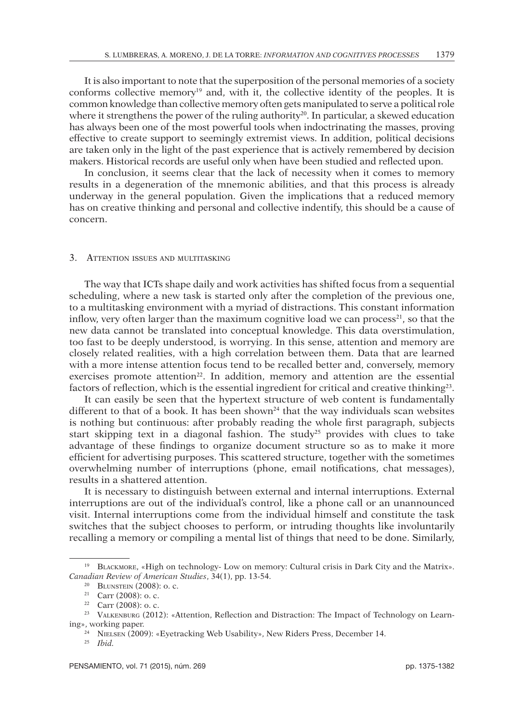It is also important to note that the superposition of the personal memories of a society conforms collective memory<sup>19</sup> and, with it, the collective identity of the peoples. It is common knowledge than collective memory often gets manipulated to serve a political role where it strengthens the power of the ruling authority<sup>20</sup>. In particular, a skewed education has always been one of the most powerful tools when indoctrinating the masses, proving effective to create support to seemingly extremist views. In addition, political decisions are taken only in the light of the past experience that is actively remembered by decision makers. Historical records are useful only when have been studied and reflected upon.

In conclusion, it seems clear that the lack of necessity when it comes to memory results in a degeneration of the mnemonic abilities, and that this process is already underway in the general population. Given the implications that a reduced memory has on creative thinking and personal and collective indentify, this should be a cause of concern.

#### 3. ATTENTION ISSUES AND MULTITASKING

The way that ICTs shape daily and work activities has shifted focus from a sequential scheduling, where a new task is started only after the completion of the previous one, to a multitasking environment with a myriad of distractions. This constant information inflow, very often larger than the maximum cognitive load we can process<sup>21</sup>, so that the new data cannot be translated into conceptual knowledge. This data overstimulation, too fast to be deeply understood, is worrying. In this sense, attention and memory are closely related realities, with a high correlation between them. Data that are learned with a more intense attention focus tend to be recalled better and, conversely, memory exercises promote attention<sup>22</sup>. In addition, memory and attention are the essential factors of reflection, which is the essential ingredient for critical and creative thinking23.

It can easily be seen that the hypertext structure of web content is fundamentally different to that of a book. It has been shown<sup>24</sup> that the way individuals scan websites is nothing but continuous: after probably reading the whole first paragraph, subjects start skipping text in a diagonal fashion. The study<sup>25</sup> provides with clues to take advantage of these findings to organize document structure so as to make it more efficient for advertising purposes. This scattered structure, together with the sometimes overwhelming number of interruptions (phone, email notifications, chat messages), results in a shattered attention.

It is necessary to distinguish between external and internal interruptions. External interruptions are out of the individual's control, like a phone call or an unannounced visit. Internal interruptions come from the individual himself and constitute the task switches that the subject chooses to perform, or intruding thoughts like involuntarily recalling a memory or compiling a mental list of things that need to be done. Similarly,

<sup>&</sup>lt;sup>19</sup> BLACKMORE, «High on technology- Low on memory: Cultural crisis in Dark City and the Matrix». *Canadian Review of American Studies*, 34(1), pp. 13-54.

<sup>&</sup>lt;sup>20</sup> BLUNSTEIN  $(2008)$ : o. c.

<sup>&</sup>lt;sup>21</sup> Carr (2008): o. c.

<sup>&</sup>lt;sup>22</sup> Carr (2008): o. c.

<sup>&</sup>lt;sup>23</sup> VALKENBURG (2012): «Attention, Reflection and Distraction: The Impact of Technology on Learning», working paper.

<sup>24</sup> Nielsen (2009): «Eyetracking Web Usability», New Riders Press, December 14.

<sup>25</sup> *Ibid.*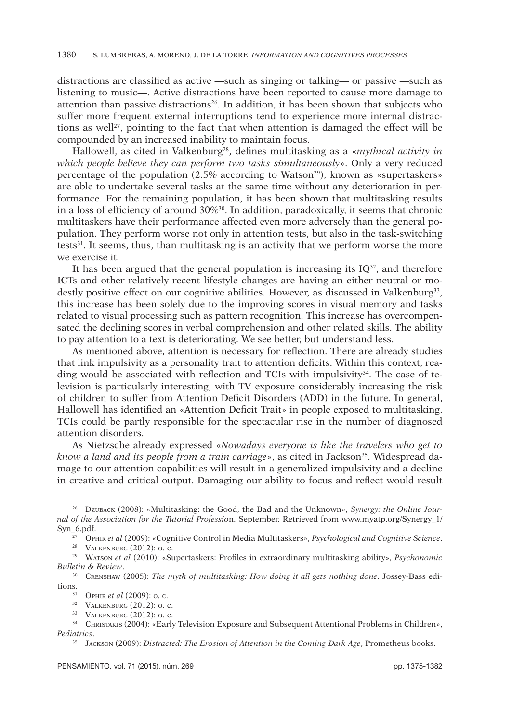distractions are classified as active —such as singing or talking— or passive —such as listening to music—. Active distractions have been reported to cause more damage to attention than passive distractions<sup>26</sup>. In addition, it has been shown that subjects who suffer more frequent external interruptions tend to experience more internal distractions as well<sup>27</sup>, pointing to the fact that when attention is damaged the effect will be compounded by an increased inability to maintain focus.

Hallowell, as cited in Valkenburg<sup>28</sup>, defines multitasking as a «*mythical activity in which people believe they can perform two tasks simultaneously*». Only a very reduced percentage of the population  $(2.5\% \text{ according to Watson}^{29})$ , known as «supertaskers» are able to undertake several tasks at the same time without any deterioration in performance. For the remaining population, it has been shown that multitasking results in a loss of efficiency of around  $30\%$ <sup>30</sup>. In addition, paradoxically, it seems that chronic multitaskers have their performance affected even more adversely than the general population. They perform worse not only in attention tests, but also in the task-switching tests31. It seems, thus, than multitasking is an activity that we perform worse the more we exercise it.

It has been argued that the general population is increasing its  $IQ^{32}$ , and therefore ICTs and other relatively recent lifestyle changes are having an either neutral or modestly positive effect on our cognitive abilities. However, as discussed in Valkenburg<sup>33</sup>, this increase has been solely due to the improving scores in visual memory and tasks related to visual processing such as pattern recognition. This increase has overcompensated the declining scores in verbal comprehension and other related skills. The ability to pay attention to a text is deteriorating. We see better, but understand less.

As mentioned above, attention is necessary for reflection. There are already studies that link impulsivity as a personality trait to attention deficits. Within this context, reading would be associated with reflection and TCIs with impulsivity $34$ . The case of television is particularly interesting, with TV exposure considerably increasing the risk of children to suffer from Attention Deficit Disorders (ADD) in the future. In general, Hallowell has identified an «Attention Deficit Trait» in people exposed to multitasking. TCIs could be partly responsible for the spectacular rise in the number of diagnosed attention disorders.

As Nietzsche already expressed «*Nowadays everyone is like the travelers who get to know a land and its people from a train carriage*», as cited in Jackson<sup>35</sup>. Widespread damage to our attention capabilities will result in a generalized impulsivity and a decline in creative and critical output. Damaging our ability to focus and reflect would result

<sup>26</sup> Dzuback (2008): «Multitasking: the Good, the Bad and the Unknown», *Synergy: the Online Journal of the Association for the Tutorial Professio*n. September. Retrieved from www.myatp.org/Synergy\_1/ Syn\_6.pdf.

<sup>&</sup>lt;sup>27</sup> OpHIR *et al* (2009): «Cognitive Control in Media Multitaskers», *Psychological and Cognitive Science*.<br><sup>28</sup> VALKENBURG (2012): o. c.

<sup>&</sup>lt;sup>29</sup> Warson *et al* (2010): «Supertaskers: Profiles in extraordinary multitasking ability», *Psychonomic Bulletin & Review*.

<sup>30</sup> Crenshaw (2005): *The myth of multitasking: How doing it all gets nothing done*. Jossey-Bass editions.

<sup>31</sup> Ophir *et al* (2009): o. c.

<sup>32</sup> Valkenburg (2012): o. c.

<sup>33</sup> Valkenburg (2012): o. c.

<sup>&</sup>lt;sup>34</sup> CHRISTAKIS (2004): «Early Television Exposure and Subsequent Attentional Problems in Children», *Pediatrics*.

<sup>35</sup> Jackson (2009): *Distracted: The Erosion of Attention in the Coming Dark Age*, Prometheus books.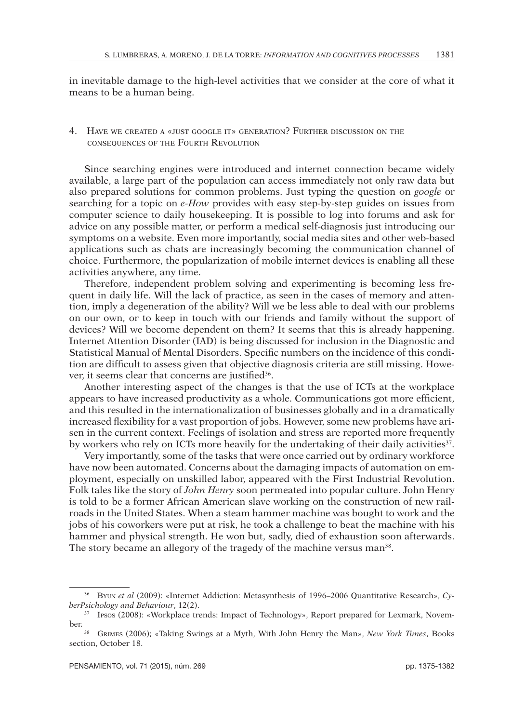in inevitable damage to the high-level activities that we consider at the core of what it means to be a human being.

## 4. HAVE WE CREATED A «JUST GOOGLE IT» GENERATION? FURTHER DISCUSSION ON THE consequences of the Fourth Revolution

Since searching engines were introduced and internet connection became widely available, a large part of the population can access immediately not only raw data but also prepared solutions for common problems. Just typing the question on *google* or searching for a topic on *e-How* provides with easy step-by-step guides on issues from computer science to daily housekeeping. It is possible to log into forums and ask for advice on any possible matter, or perform a medical self-diagnosis just introducing our symptoms on a website. Even more importantly, social media sites and other web-based applications such as chats are increasingly becoming the communication channel of choice. Furthermore, the popularization of mobile internet devices is enabling all these activities anywhere, any time.

Therefore, independent problem solving and experimenting is becoming less frequent in daily life. Will the lack of practice, as seen in the cases of memory and attention, imply a degeneration of the ability? Will we be less able to deal with our problems on our own, or to keep in touch with our friends and family without the support of devices? Will we become dependent on them? It seems that this is already happening. Internet Attention Disorder (IAD) is being discussed for inclusion in the Diagnostic and Statistical Manual of Mental Disorders. Specific numbers on the incidence of this condition are difficult to assess given that objective diagnosis criteria are still missing. However, it seems clear that concerns are justified<sup>36</sup>.

Another interesting aspect of the changes is that the use of ICTs at the workplace appears to have increased productivity as a whole. Communications got more efficient, and this resulted in the internationalization of businesses globally and in a dramatically increased flexibility for a vast proportion of jobs. However, some new problems have arisen in the current context. Feelings of isolation and stress are reported more frequently by workers who rely on ICTs more heavily for the undertaking of their daily activities<sup>37</sup>.

Very importantly, some of the tasks that were once carried out by ordinary workforce have now been automated. Concerns about the damaging impacts of automation on employment, especially on unskilled labor, appeared with the First Industrial Revolution. Folk tales like the story of *John Henry* soon permeated into popular culture. John Henry is told to be a former African American slave working on the construction of new railroads in the United States. When a steam hammer machine was bought to work and the jobs of his coworkers were put at risk, he took a challenge to beat the machine with his hammer and physical strength. He won but, sadly, died of exhaustion soon afterwards. The story became an allegory of the tragedy of the machine versus man<sup>38</sup>.

<sup>&</sup>lt;sup>36</sup> Byun *et al* (2009): «Internet Addiction: Metasynthesis of 1996–2006 Quantitative Research», *CyberPsichology and Behaviour*, 12(2).<br><sup>37</sup> Ipsos (2008): «Workplace trends: Impact of Technology», Report prepared for Lexmark, Novem-

ber.

<sup>38</sup> Grimes (2006); «Taking Swings at a Myth, With John Henry the Man», *New York Times*, Books section, October 18.